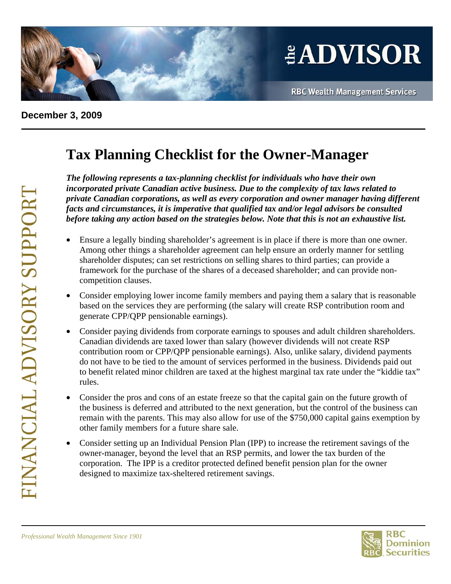

## **December 3, 2009**

## **Tax Planning Checklist for the Owner-Manager**

*The following represents a tax-planning checklist for individuals who have their own incorporated private Canadian active business. Due to the complexity of tax laws related to private Canadian corporations, as well as every corporation and owner manager having different facts and circumstances, it is imperative that qualified tax and/or legal advisors be consulted before taking any action based on the strategies below. Note that this is not an exhaustive list.* 

- Ensure a legally binding shareholder's agreement is in place if there is more than one owner. Among other things a shareholder agreement can help ensure an orderly manner for settling shareholder disputes; can set restrictions on selling shares to third parties; can provide a framework for the purchase of the shares of a deceased shareholder; and can provide noncompetition clauses.
- Consider employing lower income family members and paying them a salary that is reasonable based on the services they are performing (the salary will create RSP contribution room and generate CPP/QPP pensionable earnings).
- Consider paying dividends from corporate earnings to spouses and adult children shareholders. Canadian dividends are taxed lower than salary (however dividends will not create RSP contribution room or CPP/QPP pensionable earnings). Also, unlike salary, dividend payments do not have to be tied to the amount of services performed in the business. Dividends paid out to benefit related minor children are taxed at the highest marginal tax rate under the "kiddie tax" rules.
- Consider the pros and cons of an estate freeze so that the capital gain on the future growth of the business is deferred and attributed to the next generation, but the control of the business can remain with the parents. This may also allow for use of the \$750,000 capital gains exemption by other family members for a future share sale.
- Consider setting up an Individual Pension Plan (IPP) to increase the retirement savings of the owner-manager, beyond the level that an RSP permits, and lower the tax burden of the corporation. The IPP is a creditor protected defined benefit pension plan for the owner designed to maximize tax-sheltered retirement savings.



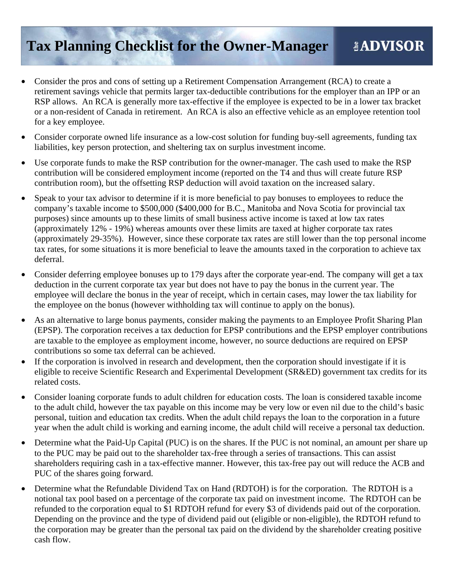## **Tax Planning Checklist for the Owner-Manager**  *LADVISOR*

- Consider the pros and cons of setting up a Retirement Compensation Arrangement (RCA) to create a retirement savings vehicle that permits larger tax-deductible contributions for the employer than an IPP or an RSP allows. An RCA is generally more tax-effective if the employee is expected to be in a lower tax bracket or a non-resident of Canada in retirement. An RCA is also an effective vehicle as an employee retention tool for a key employee.
- Consider corporate owned life insurance as a low-cost solution for funding buy-sell agreements, funding tax liabilities, key person protection, and sheltering tax on surplus investment income.
- Use corporate funds to make the RSP contribution for the owner-manager. The cash used to make the RSP contribution will be considered employment income (reported on the T4 and thus will create future RSP contribution room), but the offsetting RSP deduction will avoid taxation on the increased salary.
- Speak to your tax advisor to determine if it is more beneficial to pay bonuses to employees to reduce the company's taxable income to \$500,000 (\$400,000 for B.C., Manitoba and Nova Scotia for provincial tax purposes) since amounts up to these limits of small business active income is taxed at low tax rates (approximately 12% - 19%) whereas amounts over these limits are taxed at higher corporate tax rates (approximately 29-35%). However, since these corporate tax rates are still lower than the top personal income tax rates, for some situations it is more beneficial to leave the amounts taxed in the corporation to achieve tax deferral.
- Consider deferring employee bonuses up to 179 days after the corporate year-end. The company will get a tax deduction in the current corporate tax year but does not have to pay the bonus in the current year. The employee will declare the bonus in the year of receipt, which in certain cases, may lower the tax liability for the employee on the bonus (however withholding tax will continue to apply on the bonus).
- As an alternative to large bonus payments, consider making the payments to an Employee Profit Sharing Plan (EPSP). The corporation receives a tax deduction for EPSP contributions and the EPSP employer contributions are taxable to the employee as employment income, however, no source deductions are required on EPSP contributions so some tax deferral can be achieved.
- If the corporation is involved in research and development, then the corporation should investigate if it is eligible to receive Scientific Research and Experimental Development (SR&ED) government tax credits for its related costs.
- Consider loaning corporate funds to adult children for education costs. The loan is considered taxable income to the adult child, however the tax payable on this income may be very low or even nil due to the child's basic personal, tuition and education tax credits. When the adult child repays the loan to the corporation in a future year when the adult child is working and earning income, the adult child will receive a personal tax deduction.
- Determine what the Paid-Up Capital (PUC) is on the shares. If the PUC is not nominal, an amount per share up to the PUC may be paid out to the shareholder tax-free through a series of transactions. This can assist shareholders requiring cash in a tax-effective manner. However, this tax-free pay out will reduce the ACB and PUC of the shares going forward.
- Determine what the Refundable Dividend Tax on Hand (RDTOH) is for the corporation. The RDTOH is a notional tax pool based on a percentage of the corporate tax paid on investment income. The RDTOH can be refunded to the corporation equal to \$1 RDTOH refund for every \$3 of dividends paid out of the corporation. Depending on the province and the type of dividend paid out (eligible or non-eligible), the RDTOH refund to the corporation may be greater than the personal tax paid on the dividend by the shareholder creating positive cash flow.